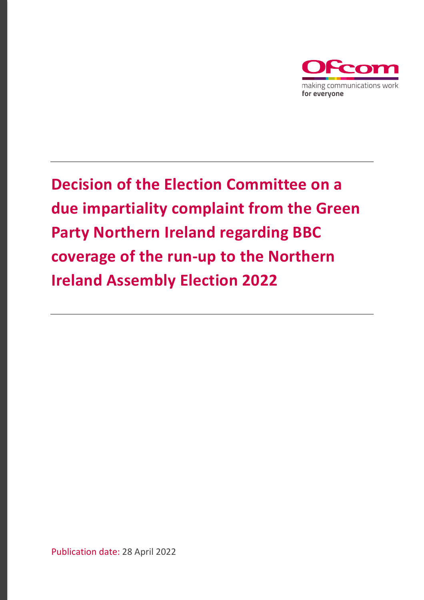

Publication date: 28 April 2022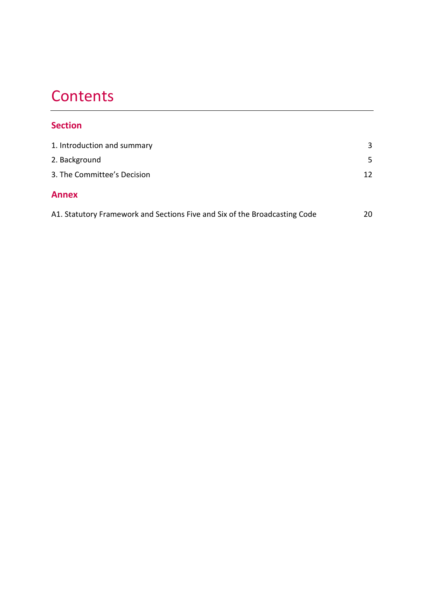# **Contents**

### **Section**

| 1. Introduction and summary                                                | 3  |
|----------------------------------------------------------------------------|----|
| 2. Background                                                              | .5 |
| 3. The Committee's Decision                                                | 12 |
| <b>Annex</b>                                                               |    |
| A1. Statutory Framework and Sections Five and Six of the Broadcasting Code | 20 |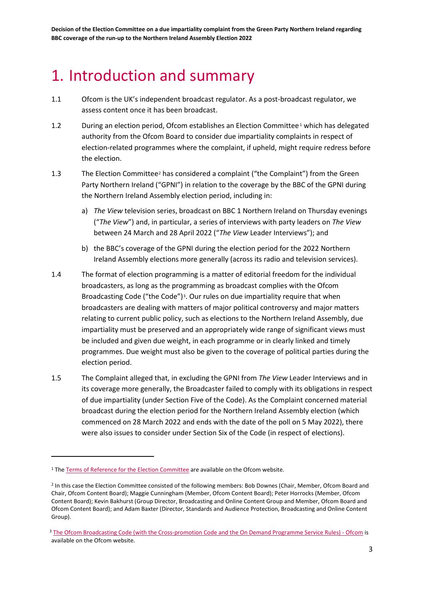# <span id="page-2-0"></span>1. Introduction and summary

- 1.1 Ofcom is the UK's independent broadcast regulator. As a post-broadcast regulator, we assess content once it has been broadcast.
- [1](#page-2-1).2 During an election period, Ofcom establishes an Election Committee<sup>1</sup> which has delegated authority from the Ofcom Board to consider due impartiality complaints in respect of election-related programmes where the complaint, if upheld, might require redress before the election.
- 1.3 The Election Committee[2](#page-2-2) has considered a complaint ("the Complaint") from the Green Party Northern Ireland ("GPNI") in relation to the coverage by the BBC of the GPNI during the Northern Ireland Assembly election period, including in:
	- a) *The View* television series, broadcast on BBC 1 Northern Ireland on Thursday evenings ("*The View*") and, in particular, a series of interviews with party leaders on *The View* between 24 March and 28 April 2022 ("*The View* Leader Interviews"); and
	- b) the BBC's coverage of the GPNI during the election period for the 2022 Northern Ireland Assembly elections more generally (across its radio and television services).
- 1.4 The format of election programming is a matter of editorial freedom for the individual broadcasters, as long as the programming as broadcast complies with the Ofcom Broadcasting Code ("the Code")<sup>[3](#page-2-3)</sup>. Our rules on due impartiality require that when broadcasters are dealing with matters of major political controversy and major matters relating to current public policy, such as elections to the Northern Ireland Assembly, due impartiality must be preserved and an appropriately wide range of significant views must be included and given due weight, in each programme or in clearly linked and timely programmes. Due weight must also be given to the coverage of political parties during the election period.
- 1.5 The Complaint alleged that, in excluding the GPNI from *The View* Leader Interviews and in its coverage more generally, the Broadcaster failed to comply with its obligations in respect of due impartiality (under Section Five of the Code). As the Complaint concerned material broadcast during the election period for the Northern Ireland Assembly election (which commenced on 28 March 2022 and ends with the date of the poll on 5 May 2022), there were also issues to consider under Section Six of the Code (in respect of elections).

<span id="page-2-1"></span><sup>&</sup>lt;sup>1</sup> The [Terms of Reference for the Election Committee](https://www.ofcom.org.uk/about-ofcom/how-ofcom-is-run/committees/election-committee) are available on the Ofcom website.

<span id="page-2-2"></span><sup>2</sup> In this case the Election Committee consisted of the following members: Bob Downes (Chair, Member, Ofcom Board and Chair, Ofcom Content Board); Maggie Cunningham (Member, Ofcom Content Board); Peter Horrocks (Member, Ofcom Content Board); Kevin Bakhurst (Group Director, Broadcasting and Online Content Group and Member, Ofcom Board and Ofcom Content Board); and Adam Baxter (Director, Standards and Audience Protection, Broadcasting and Online Content Group).

<span id="page-2-3"></span><sup>&</sup>lt;sup>3</sup> [The Ofcom Broadcasting Code \(with the Cross-promotion Code and the On Demand Programme Service Rules\) - Ofcom](https://www.ofcom.org.uk/tv-radio-and-on-demand/broadcast-codes/broadcast-code) is available on the Ofcom website.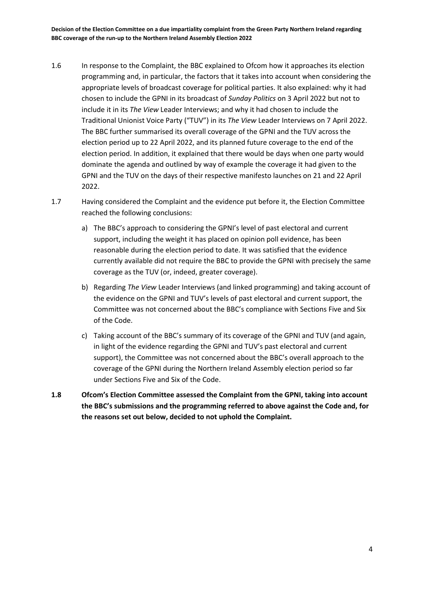- 1.6 In response to the Complaint, the BBC explained to Ofcom how it approaches its election programming and, in particular, the factors that it takes into account when considering the appropriate levels of broadcast coverage for political parties. It also explained: why it had chosen to include the GPNI in its broadcast of *Sunday Politics* on 3 April 2022 but not to include it in its *The View* Leader Interviews; and why it had chosen to include the Traditional Unionist Voice Party ("TUV") in its *The View* Leader Interviews on 7 April 2022. The BBC further summarised its overall coverage of the GPNI and the TUV across the election period up to 22 April 2022, and its planned future coverage to the end of the election period. In addition, it explained that there would be days when one party would dominate the agenda and outlined by way of example the coverage it had given to the GPNI and the TUV on the days of their respective manifesto launches on 21 and 22 April 2022.
- 1.7 Having considered the Complaint and the evidence put before it, the Election Committee reached the following conclusions:
	- a) The BBC's approach to considering the GPNI's level of past electoral and current support, including the weight it has placed on opinion poll evidence, has been reasonable during the election period to date. It was satisfied that the evidence currently available did not require the BBC to provide the GPNI with precisely the same coverage as the TUV (or, indeed, greater coverage).
	- b) Regarding *The View* Leader Interviews (and linked programming) and taking account of the evidence on the GPNI and TUV's levels of past electoral and current support, the Committee was not concerned about the BBC's compliance with Sections Five and Six of the Code.
	- c) Taking account of the BBC's summary of its coverage of the GPNI and TUV (and again, in light of the evidence regarding the GPNI and TUV's past electoral and current support), the Committee was not concerned about the BBC's overall approach to the coverage of the GPNI during the Northern Ireland Assembly election period so far under Sections Five and Six of the Code.
- **1.8 Ofcom's Election Committee assessed the Complaint from the GPNI, taking into account the BBC's submissions and the programming referred to above against the Code and, for the reasons set out below, decided to not uphold the Complaint.**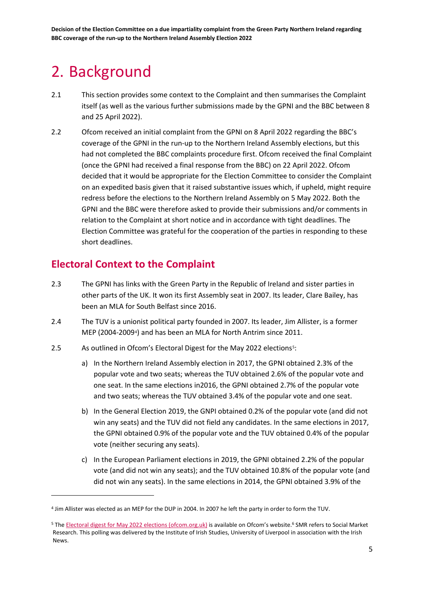# <span id="page-4-0"></span>2. Background

- 2.1 This section provides some context to the Complaint and then summarises the Complaint itself (as well as the various further submissions made by the GPNI and the BBC between 8 and 25 April 2022).
- 2.2 Ofcom received an initial complaint from the GPNI on 8 April 2022 regarding the BBC's coverage of the GPNI in the run-up to the Northern Ireland Assembly elections, but this had not completed the BBC complaints procedure first. Ofcom received the final Complaint (once the GPNI had received a final response from the BBC) on 22 April 2022. Ofcom decided that it would be appropriate for the Election Committee to consider the Complaint on an expedited basis given that it raised substantive issues which, if upheld, might require redress before the elections to the Northern Ireland Assembly on 5 May 2022. Both the GPNI and the BBC were therefore asked to provide their submissions and/or comments in relation to the Complaint at short notice and in accordance with tight deadlines. The Election Committee was grateful for the cooperation of the parties in responding to these short deadlines.

### **Electoral Context to the Complaint**

- 2.3 The GPNI has links with the Green Party in the Republic of Ireland and sister parties in other parts of the UK. It won its first Assembly seat in 2007. Its leader, Clare Bailey, has been an MLA for South Belfast since 2016.
- 2.4 The TUV is a unionist political party founded in 2007. Its leader, Jim Allister, is a former MEP (2004-2009[4](#page-4-1)) and has been an MLA for North Antrim since 2011.
- 2.5 As outlined in Ofcom's Electoral Digest for the May 2022 elections<sup>5</sup>:
	- a) In the Northern Ireland Assembly election in 2017, the GPNI obtained 2.3% of the popular vote and two seats; whereas the TUV obtained 2.6% of the popular vote and one seat. In the same elections in2016, the GPNI obtained 2.7% of the popular vote and two seats; whereas the TUV obtained 3.4% of the popular vote and one seat.
	- b) In the General Election 2019, the GNPI obtained 0.2% of the popular vote (and did not win any seats) and the TUV did not field any candidates. In the same elections in 2017, the GPNI obtained 0.9% of the popular vote and the TUV obtained 0.4% of the popular vote (neither securing any seats).
	- c) In the European Parliament elections in 2019, the GPNI obtained 2.2% of the popular vote (and did not win any seats); and the TUV obtained 10.8% of the popular vote (and did not win any seats). In the same elections in 2014, the GPNI obtained 3.9% of the

<span id="page-4-1"></span><sup>4</sup> Jim Allister was elected as an MEP for the DUP in 2004. In 2007 he left the party in order to form the TUV.

<span id="page-4-2"></span><sup>&</sup>lt;sup>5</sup> Th[e Electoral digest for May 2022 elections \(ofcom.org.uk\)](https://www.ofcom.org.uk/__data/assets/pdf_file/0024/232593/Electoral-digest-for-May-2022-elections.pdf) is available on Ofcom's website.<sup>6</sup> SMR refers to Social Market Research. This polling was delivered by the Institute of Irish Studies, University of Liverpool in association with the Irish News.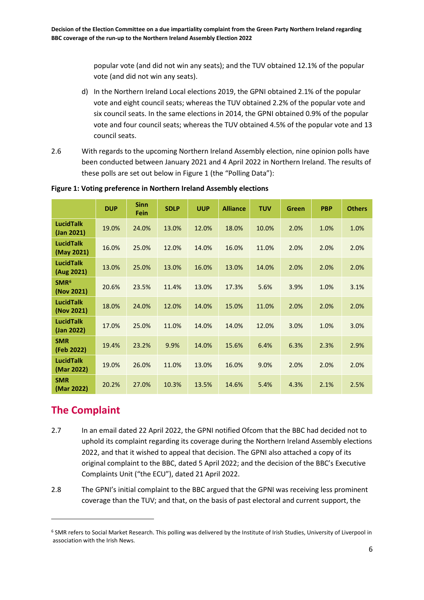popular vote (and did not win any seats); and the TUV obtained 12.1% of the popular vote (and did not win any seats).

- d) In the Northern Ireland Local elections 2019, the GPNI obtained 2.1% of the popular vote and eight council seats; whereas the TUV obtained 2.2% of the popular vote and six council seats. In the same elections in 2014, the GPNI obtained 0.9% of the popular vote and four council seats; whereas the TUV obtained 4.5% of the popular vote and 13 council seats.
- 2.6 With regards to the upcoming Northern Ireland Assembly election, nine opinion polls have been conducted between January 2021 and 4 April 2022 in Northern Ireland. The results of these polls are set out below in Figure 1 (the "Polling Data"):

|                                | <b>DUP</b> | <b>Sinn</b><br><b>Fein</b> | <b>SDLP</b> | <b>UUP</b> | <b>Alliance</b> | <b>TUV</b> | Green | <b>PBP</b> | <b>Others</b> |
|--------------------------------|------------|----------------------------|-------------|------------|-----------------|------------|-------|------------|---------------|
| <b>LucidTalk</b><br>(Jan 2021) | 19.0%      | 24.0%                      | 13.0%       | 12.0%      | 18.0%           | 10.0%      | 2.0%  | 1.0%       | 1.0%          |
| <b>LucidTalk</b><br>(May 2021) | 16.0%      | 25.0%                      | 12.0%       | 14.0%      | 16.0%           | 11.0%      | 2.0%  | 2.0%       | 2.0%          |
| <b>LucidTalk</b><br>(Aug 2021) | 13.0%      | 25.0%                      | 13.0%       | 16.0%      | 13.0%           | 14.0%      | 2.0%  | 2.0%       | 2.0%          |
| SMR <sup>6</sup><br>(Nov 2021) | 20.6%      | 23.5%                      | 11.4%       | 13.0%      | 17.3%           | 5.6%       | 3.9%  | 1.0%       | 3.1%          |
| <b>LucidTalk</b><br>(Nov 2021) | 18.0%      | 24.0%                      | 12.0%       | 14.0%      | 15.0%           | 11.0%      | 2.0%  | 2.0%       | 2.0%          |
| <b>LucidTalk</b><br>(Jan 2022) | 17.0%      | 25.0%                      | 11.0%       | 14.0%      | 14.0%           | 12.0%      | 3.0%  | 1.0%       | 3.0%          |
| <b>SMR</b><br>(Feb 2022)       | 19.4%      | 23.2%                      | 9.9%        | 14.0%      | 15.6%           | 6.4%       | 6.3%  | 2.3%       | 2.9%          |
| <b>LucidTalk</b><br>(Mar 2022) | 19.0%      | 26.0%                      | 11.0%       | 13.0%      | 16.0%           | 9.0%       | 2.0%  | 2.0%       | 2.0%          |
| <b>SMR</b><br>(Mar 2022)       | 20.2%      | 27.0%                      | 10.3%       | 13.5%      | 14.6%           | 5.4%       | 4.3%  | 2.1%       | 2.5%          |

**Figure 1: Voting preference in Northern Ireland Assembly elections**

## **The Complaint**

- 2.7 In an email dated 22 April 2022, the GPNI notified Ofcom that the BBC had decided not to uphold its complaint regarding its coverage during the Northern Ireland Assembly elections 2022, and that it wished to appeal that decision. The GPNI also attached a copy of its original complaint to the BBC, dated 5 April 2022; and the decision of the BBC's Executive Complaints Unit ("the ECU"), dated 21 April 2022.
- 2.8 The GPNI's initial complaint to the BBC argued that the GPNI was receiving less prominent coverage than the TUV; and that, on the basis of past electoral and current support, the

<span id="page-5-0"></span><sup>6</sup> SMR refers to Social Market Research. This polling was delivered by the Institute of Irish Studies, University of Liverpool in association with the Irish News.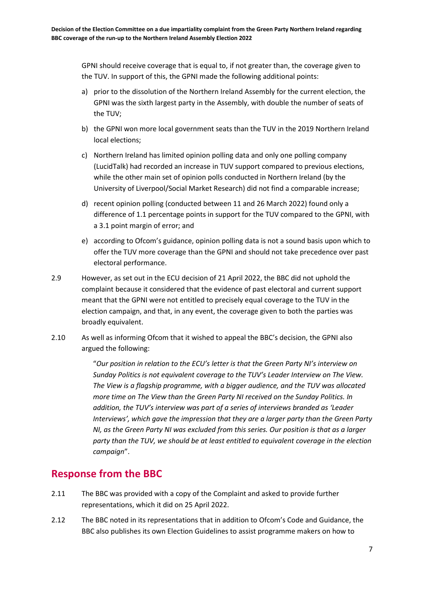GPNI should receive coverage that is equal to, if not greater than, the coverage given to the TUV. In support of this, the GPNI made the following additional points:

- a) prior to the dissolution of the Northern Ireland Assembly for the current election, the GPNI was the sixth largest party in the Assembly, with double the number of seats of the TUV;
- b) the GPNI won more local government seats than the TUV in the 2019 Northern Ireland local elections;
- c) Northern Ireland has limited opinion polling data and only one polling company (LucidTalk) had recorded an increase in TUV support compared to previous elections, while the other main set of opinion polls conducted in Northern Ireland (by the University of Liverpool/Social Market Research) did not find a comparable increase;
- d) recent opinion polling (conducted between 11 and 26 March 2022) found only a difference of 1.1 percentage points in support for the TUV compared to the GPNI, with a 3.1 point margin of error; and
- e) according to Ofcom's guidance, opinion polling data is not a sound basis upon which to offer the TUV more coverage than the GPNI and should not take precedence over past electoral performance.
- 2.9 However, as set out in the ECU decision of 21 April 2022, the BBC did not uphold the complaint because it considered that the evidence of past electoral and current support meant that the GPNI were not entitled to precisely equal coverage to the TUV in the election campaign, and that, in any event, the coverage given to both the parties was broadly equivalent.
- 2.10 As well as informing Ofcom that it wished to appeal the BBC's decision, the GPNI also argued the following:

"*Our position in relation to the ECU's letter is that the Green Party NI's interview on Sunday Politics is not equivalent coverage to the TUV's Leader Interview on The View. The View is a flagship programme, with a bigger audience, and the TUV was allocated more time on The View than the Green Party NI received on the Sunday Politics. In addition, the TUV's interview was part of a series of interviews branded as 'Leader Interviews', which gave the impression that they are a larger party than the Green Party NI, as the Green Party NI was excluded from this series. Our position is that as a larger party than the TUV, we should be at least entitled to equivalent coverage in the election campaign*".

## **Response from the BBC**

- 2.11 The BBC was provided with a copy of the Complaint and asked to provide further representations, which it did on 25 April 2022.
- 2.12 The BBC noted in its representations that in addition to Ofcom's Code and Guidance, the BBC also publishes its own Election Guidelines to assist programme makers on how to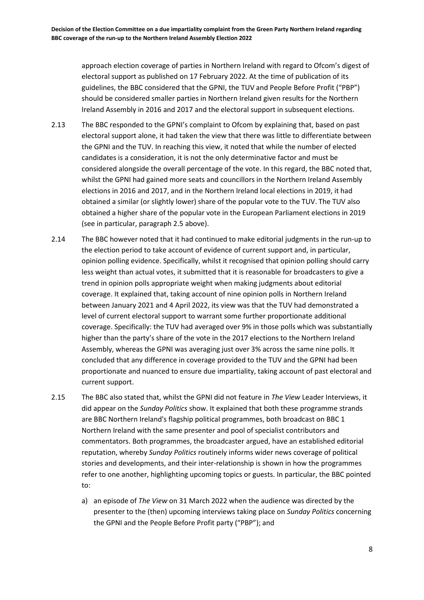approach election coverage of parties in Northern Ireland with regard to Ofcom's digest of electoral support as published on 17 February 2022. At the time of publication of its guidelines, the BBC considered that the GPNI, the TUV and People Before Profit ("PBP") should be considered smaller parties in Northern Ireland given results for the Northern Ireland Assembly in 2016 and 2017 and the electoral support in subsequent elections.

- 2.13 The BBC responded to the GPNI's complaint to Ofcom by explaining that, based on past electoral support alone, it had taken the view that there was little to differentiate between the GPNI and the TUV. In reaching this view, it noted that while the number of elected candidates is a consideration, it is not the only determinative factor and must be considered alongside the overall percentage of the vote. In this regard, the BBC noted that, whilst the GPNI had gained more seats and councillors in the Northern Ireland Assembly elections in 2016 and 2017, and in the Northern Ireland local elections in 2019, it had obtained a similar (or slightly lower) share of the popular vote to the TUV. The TUV also obtained a higher share of the popular vote in the European Parliament elections in 2019 (see in particular, paragraph 2.5 above).
- 2.14 The BBC however noted that it had continued to make editorial judgments in the run-up to the election period to take account of evidence of current support and, in particular, opinion polling evidence. Specifically, whilst it recognised that opinion polling should carry less weight than actual votes, it submitted that it is reasonable for broadcasters to give a trend in opinion polls appropriate weight when making judgments about editorial coverage. It explained that, taking account of nine opinion polls in Northern Ireland between January 2021 and 4 April 2022, its view was that the TUV had demonstrated a level of current electoral support to warrant some further proportionate additional coverage. Specifically: the TUV had averaged over 9% in those polls which was substantially higher than the party's share of the vote in the 2017 elections to the Northern Ireland Assembly, whereas the GPNI was averaging just over 3% across the same nine polls. It concluded that any difference in coverage provided to the TUV and the GPNI had been proportionate and nuanced to ensure due impartiality, taking account of past electoral and current support.
- 2.15 The BBC also stated that, whilst the GPNI did not feature in *The View* Leader Interviews, it did appear on the *Sunday Politics* show. It explained that both these programme strands are BBC Northern Ireland's flagship political programmes, both broadcast on BBC 1 Northern Ireland with the same presenter and pool of specialist contributors and commentators. Both programmes, the broadcaster argued, have an established editorial reputation, whereby *Sunday Politics* routinely informs wider news coverage of political stories and developments, and their inter-relationship is shown in how the programmes refer to one another, highlighting upcoming topics or guests. In particular, the BBC pointed to:
	- a) an episode of *The View* on 31 March 2022 when the audience was directed by the presenter to the (then) upcoming interviews taking place on *Sunday Politics* concerning the GPNI and the People Before Profit party ("PBP"); and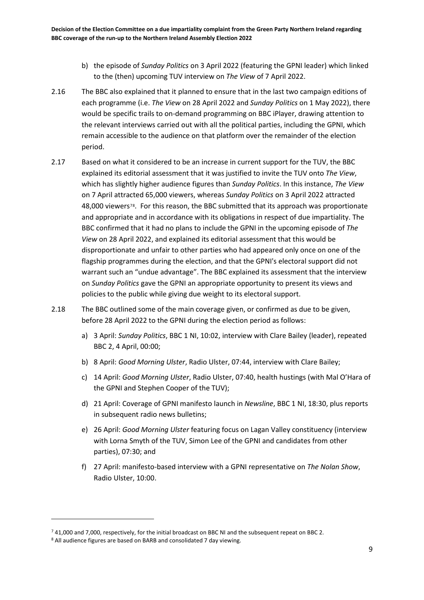- b) the episode of *Sunday Politics* on 3 April 2022 (featuring the GPNI leader) which linked to the (then) upcoming TUV interview on *The View* of 7 April 2022.
- 2.16 The BBC also explained that it planned to ensure that in the last two campaign editions of each programme (i.e. *The View* on 28 April 2022 and *Sunday Politics* on 1 May 2022), there would be specific trails to on-demand programming on BBC iPlayer, drawing attention to the relevant interviews carried out with all the political parties, including the GPNI, which remain accessible to the audience on that platform over the remainder of the election period.
- 2.17 Based on what it considered to be an increase in current support for the TUV, the BBC explained its editorial assessment that it was justified to invite the TUV onto *The View*, which has slightly higher audience figures than *Sunday Politics*. In this instance, *The View* on 7 April attracted 65,000 viewers, whereas *Sunday Politics* on 3 April 2022 attracted 48,000 viewers[7](#page-8-0)[8](#page-8-1). For this reason, the BBC submitted that its approach was proportionate and appropriate and in accordance with its obligations in respect of due impartiality. The BBC confirmed that it had no plans to include the GPNI in the upcoming episode of *The View* on 28 April 2022, and explained its editorial assessment that this would be disproportionate and unfair to other parties who had appeared only once on one of the flagship programmes during the election, and that the GPNI's electoral support did not warrant such an "undue advantage". The BBC explained its assessment that the interview on *Sunday Politics* gave the GPNI an appropriate opportunity to present its views and policies to the public while giving due weight to its electoral support.
- 2.18 The BBC outlined some of the main coverage given, or confirmed as due to be given, before 28 April 2022 to the GPNI during the election period as follows:
	- a) 3 April: *Sunday Politics*, BBC 1 NI, 10:02, interview with Clare Bailey (leader), repeated BBC 2, 4 April, 00:00;
	- b) 8 April: *Good Morning Ulster*, Radio Ulster, 07:44, interview with Clare Bailey;
	- c) 14 April: *Good Morning Ulster*, Radio Ulster, 07:40, health hustings (with Mal O'Hara of the GPNI and Stephen Cooper of the TUV);
	- d) 21 April: Coverage of GPNI manifesto launch in *Newsline*, BBC 1 NI, 18:30, plus reports in subsequent radio news bulletins;
	- e) 26 April: *Good Morning Ulster* featuring focus on Lagan Valley constituency (interview with Lorna Smyth of the TUV, Simon Lee of the GPNI and candidates from other parties), 07:30; and
	- f) 27 April: manifesto-based interview with a GPNI representative on *The Nolan Show*, Radio Ulster, 10:00.

<span id="page-8-0"></span><sup>7</sup> 41,000 and 7,000, respectively, for the initial broadcast on BBC NI and the subsequent repeat on BBC 2.

<span id="page-8-1"></span><sup>8</sup> All audience figures are based on BARB and consolidated 7 day viewing.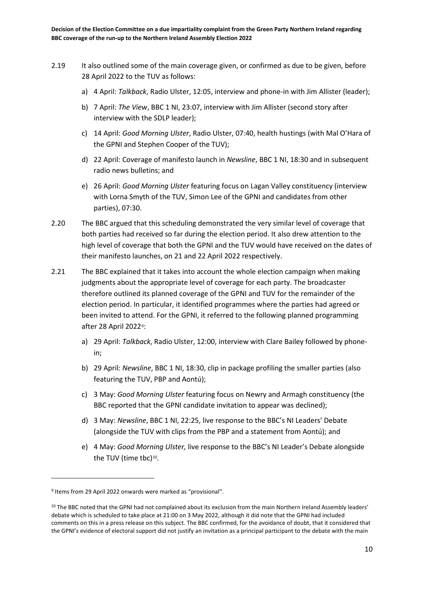- 2.19 It also outlined some of the main coverage given, or confirmed as due to be given, before 28 April 2022 to the TUV as follows:
	- a) 4 April: *Talkback*, Radio Ulster, 12:05, interview and phone-in with Jim Allister (leader);
	- b) 7 April: *The View*, BBC 1 NI, 23:07, interview with Jim Allister (second story after interview with the SDLP leader);
	- c) 14 April: *Good Morning Ulster*, Radio Ulster, 07:40, health hustings (with Mal O'Hara of the GPNI and Stephen Cooper of the TUV);
	- d) 22 April: Coverage of manifesto launch in *Newsline*, BBC 1 NI, 18:30 and in subsequent radio news bulletins; and
	- e) 26 April: *Good Morning Ulster* featuring focus on Lagan Valley constituency (interview with Lorna Smyth of the TUV, Simon Lee of the GPNI and candidates from other parties), 07:30.
- 2.20 The BBC argued that this scheduling demonstrated the very similar level of coverage that both parties had received so far during the election period. It also drew attention to the high level of coverage that both the GPNI and the TUV would have received on the dates of their manifesto launches, on 21 and 22 April 2022 respectively.
- 2.21 The BBC explained that it takes into account the whole election campaign when making judgments about the appropriate level of coverage for each party. The broadcaster therefore outlined its planned coverage of the GPNI and TUV for the remainder of the election period. In particular, it identified programmes where the parties had agreed or been invited to attend. For the GPNI, it referred to the following planned programming after 28 April 2022[9:](#page-9-0)
	- a) 29 April: *Talkback*, Radio Ulster, 12:00, interview with Clare Bailey followed by phonein;
	- b) 29 April: *Newsline*, BBC 1 NI, 18:30, clip in package profiling the smaller parties (also featuring the TUV, PBP and Aontú);
	- c) 3 May: *Good Morning Ulster* featuring focus on Newry and Armagh constituency (the BBC reported that the GPNI candidate invitation to appear was declined);
	- d) 3 May: *Newsline*, BBC 1 NI, 22:25, live response to the BBC's NI Leaders' Debate (alongside the TUV with clips from the PBP and a statement from Aontú); and
	- e) 4 May: *Good Morning Ulster,* live response to the BBC's NI Leader's Debate alongside the TUV (time tbc)<sup>[10](#page-9-1)</sup>.

<span id="page-9-0"></span><sup>&</sup>lt;sup>9</sup> Items from 29 April 2022 onwards were marked as "provisional".

<span id="page-9-1"></span><sup>&</sup>lt;sup>10</sup> The BBC noted that the GPNI had not complained about its exclusion from the main Northern Ireland Assembly leaders' debate which is scheduled to take place at 21:00 on 3 May 2022, although it did note that the GPNI had included comments on this in a press release on this subject. The BBC confirmed, for the avoidance of doubt, that it considered that the GPNI's evidence of electoral support did not justify an invitation as a principal participant to the debate with the main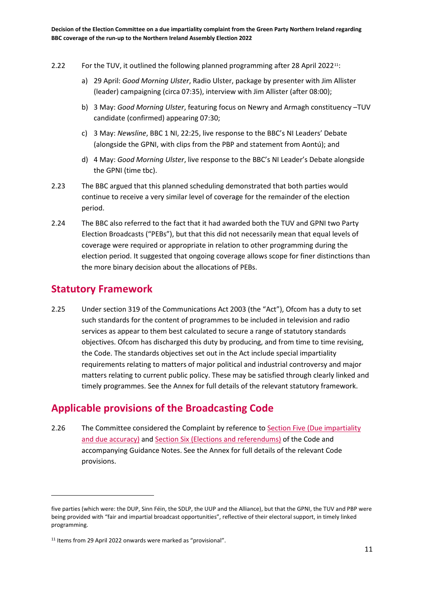- 2.22 For the TUV, it outlined the following planned programming after 28 April 2022[11](#page-10-0):
	- a) 29 April: *Good Morning Ulster*, Radio Ulster, package by presenter with Jim Allister (leader) campaigning (circa 07:35), interview with Jim Allister (after 08:00);
	- b) 3 May: *Good Morning Ulster*, featuring focus on Newry and Armagh constituency –TUV candidate (confirmed) appearing 07:30;
	- c) 3 May: *Newsline*, BBC 1 NI, 22:25, live response to the BBC's NI Leaders' Debate (alongside the GPNI, with clips from the PBP and statement from Aontú); and
	- d) 4 May: *Good Morning Ulster*, live response to the BBC's NI Leader's Debate alongside the GPNI (time tbc).
- 2.23 The BBC argued that this planned scheduling demonstrated that both parties would continue to receive a very similar level of coverage for the remainder of the election period.
- 2.24 The BBC also referred to the fact that it had awarded both the TUV and GPNI two Party Election Broadcasts ("PEBs"), but that this did not necessarily mean that equal levels of coverage were required or appropriate in relation to other programming during the election period. It suggested that ongoing coverage allows scope for finer distinctions than the more binary decision about the allocations of PEBs.

#### **Statutory Framework**

2.25 Under section 319 of the Communications Act 2003 (the "Act"), Ofcom has a duty to set such standards for the content of programmes to be included in television and radio services as appear to them best calculated to secure a range of statutory standards objectives. Ofcom has discharged this duty by producing, and from time to time revising, the Code. The standards objectives set out in the Act include special impartiality requirements relating to matters of major political and industrial controversy and major matters relating to current public policy. These may be satisfied through clearly linked and timely programmes. See the Annex for full details of the relevant statutory framework.

### **Applicable provisions of the Broadcasting Code**

2.26 The Committee considered the Complaint by reference to [Section Five](https://www.ofcom.org.uk/tv-radio-and-on-demand/broadcast-codes/broadcast-code/section-five-due-impartiality-accuracy) (Due impartiality [and due accuracy\)](https://www.ofcom.org.uk/tv-radio-and-on-demand/broadcast-codes/broadcast-code/section-five-due-impartiality-accuracy) an[d Section Six \(Elections and referendums\)](https://www.ofcom.org.uk/tv-radio-and-on-demand/broadcast-codes/broadcast-code/section-six-elections-referendums) of the Code and accompanying Guidance Notes. See the Annex for full details of the relevant Code provisions.

five parties (which were: the DUP, Sinn Féin, the SDLP, the UUP and the Alliance), but that the GPNI, the TUV and PBP were being provided with "fair and impartial broadcast opportunities", reflective of their electoral support, in timely linked programming.

<span id="page-10-0"></span><sup>&</sup>lt;sup>11</sup> Items from 29 April 2022 onwards were marked as "provisional".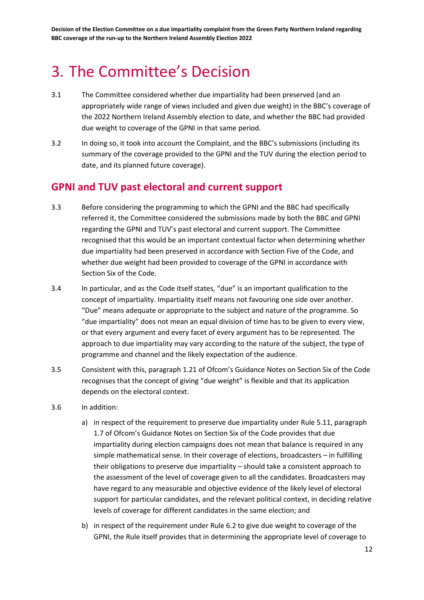# <span id="page-11-0"></span>3. The Committee's Decision

- 3.1 The Committee considered whether due impartiality had been preserved (and an appropriately wide range of views included and given due weight) in the BBC's coverage of the 2022 Northern Ireland Assembly election to date, and whether the BBC had provided due weight to coverage of the GPNI in that same period.
- 3.2 In doing so, it took into account the Complaint, and the BBC's submissions (including its summary of the coverage provided to the GPNI and the TUV during the election period to date, and its planned future coverage).

#### **GPNI and TUV past electoral and current support**

- 3.3 Before considering the programming to which the GPNI and the BBC had specifically referred it, the Committee considered the submissions made by both the BBC and GPNI regarding the GPNI and TUV's past electoral and current support. The Committee recognised that this would be an important contextual factor when determining whether due impartiality had been preserved in accordance with Section Five of the Code, and whether due weight had been provided to coverage of the GPNI in accordance with Section Six of the Code.
- <span id="page-11-1"></span>3.4 In particular, and as the Code itself states, "due" is an important qualification to the concept of impartiality. Impartiality itself means not favouring one side over another. "Due" means adequate or appropriate to the subject and nature of the programme. So "due impartiality" does not mean an equal division of time has to be given to every view, or that every argument and every facet of every argument has to be represented. The approach to due impartiality may vary according to the nature of the subject, the type of programme and channel and the likely expectation of the audience.
- 3.5 Consistent with this, paragraph 1.21 of Ofcom's Guidance Notes on Section Six of the Code recognises that the concept of giving "due weight" is flexible and that its application depends on the electoral context.
- 3.6 In addition:
	- a) in respect of the requirement to preserve due impartiality under Rule 5.11, paragraph 1.7 of Ofcom's Guidance Notes on Section Six of the Code provides that due impartiality during election campaigns does not mean that balance is required in any simple mathematical sense. In their coverage of elections, broadcasters – in fulfilling their obligations to preserve due impartiality – should take a consistent approach to the assessment of the level of coverage given to all the candidates. Broadcasters may have regard to any measurable and objective evidence of the likely level of electoral support for particular candidates, and the relevant political context, in deciding relative levels of coverage for different candidates in the same election; and
	- b) in respect of the requirement under Rule 6.2 to give due weight to coverage of the GPNI, the Rule itself provides that in determining the appropriate level of coverage to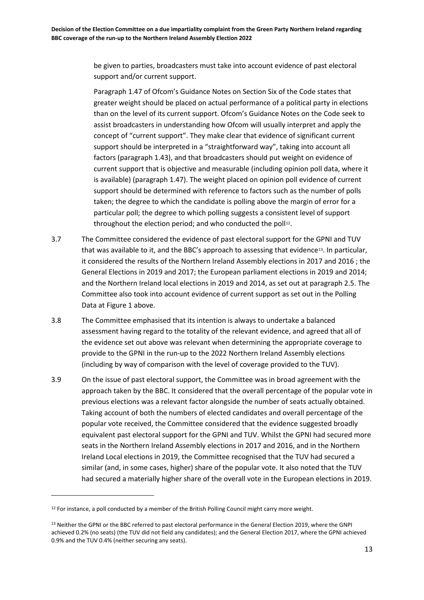be given to parties, broadcasters must take into account evidence of past electoral support and/or current support.

Paragraph 1.47 of Ofcom's Guidance Notes on Section Six of the Code states that greater weight should be placed on actual performance of a political party in elections than on the level of its current support. Ofcom's Guidance Notes on the Code seek to assist broadcasters in understanding how Ofcom will usually interpret and apply the concept of "current support". They make clear that evidence of significant current support should be interpreted in a "straightforward way", taking into account all factors (paragraph 1.43), and that broadcasters should put weight on evidence of current support that is objective and measurable (including opinion poll data, where it is available) (paragraph 1.47). The weight placed on opinion poll evidence of current support should be determined with reference to factors such as the number of polls taken; the degree to which the candidate is polling above the margin of error for a particular poll; the degree to which polling suggests a consistent level of support throughout the election period; and who conducted the poll[12](#page-12-0).

- 3.7 The Committee considered the evidence of past electoral support for the GPNI and TUV that was available to it, and the BBC's approach to assessing that evidence[13](#page-12-1). In particular, it considered the results of the Northern Ireland Assembly elections in 2017 and 2016 ; the General Elections in 2019 and 2017; the European parliament elections in 2019 and 2014; and the Northern Ireland local elections in 2019 and 2014, as set out at paragraph 2.5. The Committee also took into account evidence of current support as set out in the Polling Data at Figure 1 above.
- 3.8 The Committee emphasised that its intention is always to undertake a balanced assessment having regard to the totality of the relevant evidence, and agreed that all of the evidence set out above was relevant when determining the appropriate coverage to provide to the GPNI in the run-up to the 2022 Northern Ireland Assembly elections (including by way of comparison with the level of coverage provided to the TUV).
- 3.9 On the issue of past electoral support, the Committee was in broad agreement with the approach taken by the BBC. It considered that the overall percentage of the popular vote in previous elections was a relevant factor alongside the number of seats actually obtained. Taking account of both the numbers of elected candidates and overall percentage of the popular vote received, the Committee considered that the evidence suggested broadly equivalent past electoral support for the GPNI and TUV. Whilst the GPNI had secured more seats in the Northern Ireland Assembly elections in 2017 and 2016, and in the Northern Ireland Local elections in 2019, the Committee recognised that the TUV had secured a similar (and, in some cases, higher) share of the popular vote. It also noted that the TUV had secured a materially higher share of the overall vote in the European elections in 2019.

<span id="page-12-0"></span><sup>&</sup>lt;sup>12</sup> For instance, a poll conducted by a member of the British Polling Council might carry more weight.

<span id="page-12-1"></span><sup>&</sup>lt;sup>13</sup> Neither the GPNI or the BBC referred to past electoral performance in the General Election 2019, where the GNPI achieved 0.2% (no seats) (the TUV did not field any candidates); and the General Election 2017, where the GPNI achieved 0.9% and the TUV 0.4% (neither securing any seats).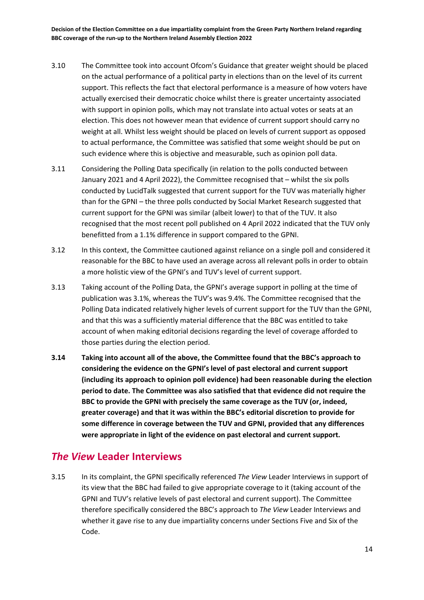- 3.10 The Committee took into account Ofcom's Guidance that greater weight should be placed on the actual performance of a political party in elections than on the level of its current support. This reflects the fact that electoral performance is a measure of how voters have actually exercised their democratic choice whilst there is greater uncertainty associated with support in opinion polls, which may not translate into actual votes or seats at an election. This does not however mean that evidence of current support should carry no weight at all. Whilst less weight should be placed on levels of current support as opposed to actual performance, the Committee was satisfied that some weight should be put on such evidence where this is objective and measurable, such as opinion poll data.
- 3.11 Considering the Polling Data specifically (in relation to the polls conducted between January 2021 and 4 April 2022), the Committee recognised that – whilst the six polls conducted by LucidTalk suggested that current support for the TUV was materially higher than for the GPNI – the three polls conducted by Social Market Research suggested that current support for the GPNI was similar (albeit lower) to that of the TUV. It also recognised that the most recent poll published on 4 April 2022 indicated that the TUV only benefitted from a 1.1% difference in support compared to the GPNI.
- 3.12 In this context, the Committee cautioned against reliance on a single poll and considered it reasonable for the BBC to have used an average across all relevant polls in order to obtain a more holistic view of the GPNI's and TUV's level of current support.
- 3.13 Taking account of the Polling Data, the GPNI's average support in polling at the time of publication was 3.1%, whereas the TUV's was 9.4%. The Committee recognised that the Polling Data indicated relatively higher levels of current support for the TUV than the GPNI, and that this was a sufficiently material difference that the BBC was entitled to take account of when making editorial decisions regarding the level of coverage afforded to those parties during the election period.
- **3.14 Taking into account all of the above, the Committee found that the BBC's approach to considering the evidence on the GPNI's level of past electoral and current support (including its approach to opinion poll evidence) had been reasonable during the election period to date. The Committee was also satisfied that that evidence did not require the BBC to provide the GPNI with precisely the same coverage as the TUV (or, indeed, greater coverage) and that it was within the BBC's editorial discretion to provide for some difference in coverage between the TUV and GPNI, provided that any differences were appropriate in light of the evidence on past electoral and current support.**

#### *The View* **Leader Interviews**

3.15 In its complaint, the GPNI specifically referenced *The View* Leader Interviews in support of its view that the BBC had failed to give appropriate coverage to it (taking account of the GPNI and TUV's relative levels of past electoral and current support). The Committee therefore specifically considered the BBC's approach to *The View* Leader Interviews and whether it gave rise to any due impartiality concerns under Sections Five and Six of the Code.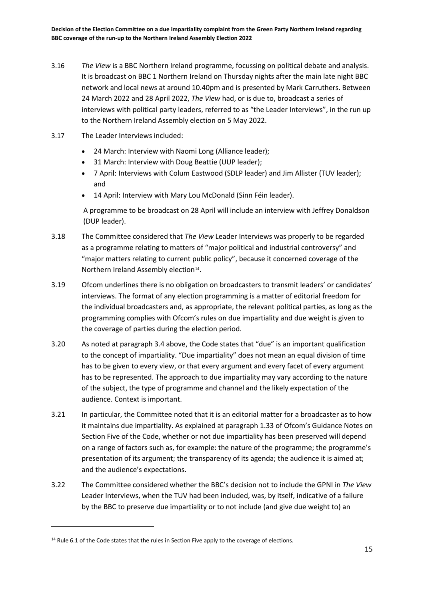- 3.16 *The View* is a BBC Northern Ireland programme, focussing on political debate and analysis. It is broadcast on BBC 1 Northern Ireland on Thursday nights after the main late night BBC network and local news at around 10.40pm and is presented by Mark Carruthers. Between 24 March 2022 and 28 April 2022, *The View* had, or is due to, broadcast a series of interviews with political party leaders, referred to as "the Leader Interviews", in the run up to the Northern Ireland Assembly election on 5 May 2022.
- 3.17 The Leader Interviews included:
	- 24 March: Interview with Naomi Long (Alliance leader);
	- 31 March: Interview with Doug Beattie (UUP leader);
	- 7 April: Interviews with Colum Eastwood (SDLP leader) and Jim Allister (TUV leader); and
	- 14 April: Interview with Mary Lou McDonald (Sinn Féin leader).

A programme to be broadcast on 28 April will include an interview with Jeffrey Donaldson (DUP leader).

- 3.18 The Committee considered that *The View* Leader Interviews was properly to be regarded as a programme relating to matters of "major political and industrial controversy" and "major matters relating to current public policy", because it concerned coverage of the Northern Ireland Assembly election<sup>14</sup>.
- 3.19 Ofcom underlines there is no obligation on broadcasters to transmit leaders' or candidates' interviews. The format of any election programming is a matter of editorial freedom for the individual broadcasters and, as appropriate, the relevant political parties, as long as the programming complies with Ofcom's rules on due impartiality and due weight is given to the coverage of parties during the election period.
- 3.20 As noted at paragrap[h 3.4](#page-11-1) above, the Code states that "due" is an important qualification to the concept of impartiality. "Due impartiality" does not mean an equal division of time has to be given to every view, or that every argument and every facet of every argument has to be represented. The approach to due impartiality may vary according to the nature of the subject, the type of programme and channel and the likely expectation of the audience. Context is important.
- 3.21 In particular, the Committee noted that it is an editorial matter for a broadcaster as to how it maintains due impartiality. As explained at paragraph 1.33 of Ofcom's Guidance Notes on Section Five of the Code, whether or not due impartiality has been preserved will depend on a range of factors such as, for example: the nature of the programme; the programme's presentation of its argument; the transparency of its agenda; the audience it is aimed at; and the audience's expectations.
- 3.22 The Committee considered whether the BBC's decision not to include the GPNI in *The View* Leader Interviews, when the TUV had been included, was, by itself, indicative of a failure by the BBC to preserve due impartiality or to not include (and give due weight to) an

<span id="page-14-0"></span><sup>&</sup>lt;sup>14</sup> Rule 6.1 of the Code states that the rules in Section Five apply to the coverage of elections.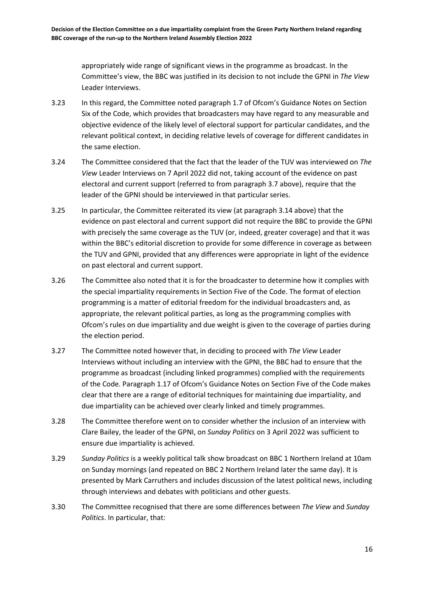appropriately wide range of significant views in the programme as broadcast. In the Committee's view, the BBC was justified in its decision to not include the GPNI in *The View* Leader Interviews.

- 3.23 In this regard, the Committee noted paragraph 1.7 of Ofcom's Guidance Notes on Section Six of the Code, which provides that broadcasters may have regard to any measurable and objective evidence of the likely level of electoral support for particular candidates, and the relevant political context, in deciding relative levels of coverage for different candidates in the same election.
- 3.24 The Committee considered that the fact that the leader of the TUV was interviewed on *The View* Leader Interviews on 7 April 2022 did not, taking account of the evidence on past electoral and current support (referred to from paragraph 3.7 above), require that the leader of the GPNI should be interviewed in that particular series.
- 3.25 In particular, the Committee reiterated its view (at paragraph 3.14 above) that the evidence on past electoral and current support did not require the BBC to provide the GPNI with precisely the same coverage as the TUV (or, indeed, greater coverage) and that it was within the BBC's editorial discretion to provide for some difference in coverage as between the TUV and GPNI, provided that any differences were appropriate in light of the evidence on past electoral and current support.
- 3.26 The Committee also noted that it is for the broadcaster to determine how it complies with the special impartiality requirements in Section Five of the Code. The format of election programming is a matter of editorial freedom for the individual broadcasters and, as appropriate, the relevant political parties, as long as the programming complies with Ofcom's rules on due impartiality and due weight is given to the coverage of parties during the election period.
- 3.27 The Committee noted however that, in deciding to proceed with *The View* Leader Interviews without including an interview with the GPNI, the BBC had to ensure that the programme as broadcast (including linked programmes) complied with the requirements of the Code. Paragraph 1.17 of Ofcom's Guidance Notes on Section Five of the Code makes clear that there are a range of editorial techniques for maintaining due impartiality, and due impartiality can be achieved over clearly linked and timely programmes.
- 3.28 The Committee therefore went on to consider whether the inclusion of an interview with Clare Bailey, the leader of the GPNI, on *Sunday Politics* on 3 April 2022 was sufficient to ensure due impartiality is achieved.
- 3.29 *Sunday Politics* is a weekly political talk show broadcast on BBC 1 Northern Ireland at 10am on Sunday mornings (and repeated on BBC 2 Northern Ireland later the same day). It is presented by Mark Carruthers and includes discussion of the latest political news, including through interviews and debates with politicians and other guests.
- 3.30 The Committee recognised that there are some differences between *The View* and *Sunday Politics*. In particular, that: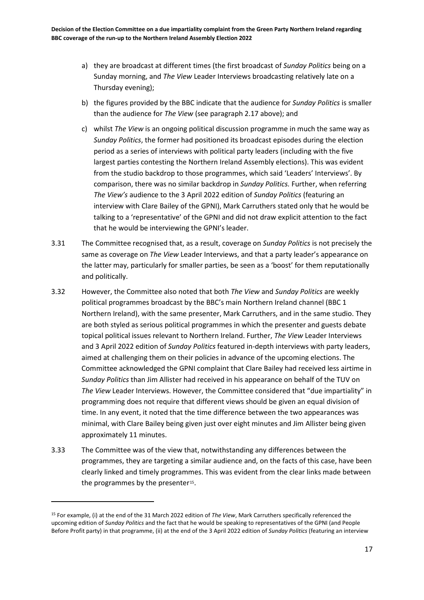- a) they are broadcast at different times (the first broadcast of *Sunday Politics* being on a Sunday morning, and *The View* Leader Interviews broadcasting relatively late on a Thursday evening);
- b) the figures provided by the BBC indicate that the audience for *Sunday Politics* is smaller than the audience for *The View* (see paragraph 2.17 above); and
- c) whilst *The View* is an ongoing political discussion programme in much the same way as *Sunday Politics*, the former had positioned its broadcast episodes during the election period as a series of interviews with political party leaders (including with the five largest parties contesting the Northern Ireland Assembly elections). This was evident from the studio backdrop to those programmes, which said 'Leaders' Interviews'. By comparison, there was no similar backdrop in *Sunday Politics.* Further, when referring *The View's* audience to the 3 April 2022 edition of *Sunday Politics* (featuring an interview with Clare Bailey of the GPNI), Mark Carruthers stated only that he would be talking to a 'representative' of the GPNI and did not draw explicit attention to the fact that he would be interviewing the GPNI's leader.
- 3.31 The Committee recognised that, as a result, coverage on *Sunday Politics* is not precisely the same as coverage on *The View* Leader Interviews, and that a party leader's appearance on the latter may, particularly for smaller parties, be seen as a 'boost' for them reputationally and politically.
- 3.32 However, the Committee also noted that both *The View* and *Sunday Politics* are weekly political programmes broadcast by the BBC's main Northern Ireland channel (BBC 1 Northern Ireland), with the same presenter, Mark Carruthers, and in the same studio. They are both styled as serious political programmes in which the presenter and guests debate topical political issues relevant to Northern Ireland. Further, *The View* Leader Interviews and 3 April 2022 edition of *Sunday Politics* featured in-depth interviews with party leaders, aimed at challenging them on their policies in advance of the upcoming elections. The Committee acknowledged the GPNI complaint that Clare Bailey had received less airtime in *Sunday Politics* than Jim Allister had received in his appearance on behalf of the TUV on *The View* Leader Interviews. However, the Committee considered that "due impartiality" in programming does not require that different views should be given an equal division of time. In any event, it noted that the time difference between the two appearances was minimal, with Clare Bailey being given just over eight minutes and Jim Allister being given approximately 11 minutes.
- 3.33 The Committee was of the view that, notwithstanding any differences between the programmes, they are targeting a similar audience and, on the facts of this case, have been clearly linked and timely programmes. This was evident from the clear links made between the programmes by the presenter<sup>[15](#page-16-0)</sup>.

<span id="page-16-0"></span><sup>15</sup> For example, (i) at the end of the 31 March 2022 edition of *The View*, Mark Carruthers specifically referenced the upcoming edition of *Sunday Politics* and the fact that he would be speaking to representatives of the GPNI (and People Before Profit party) in that programme, (ii) at the end of the 3 April 2022 edition of *Sunday Politics* (featuring an interview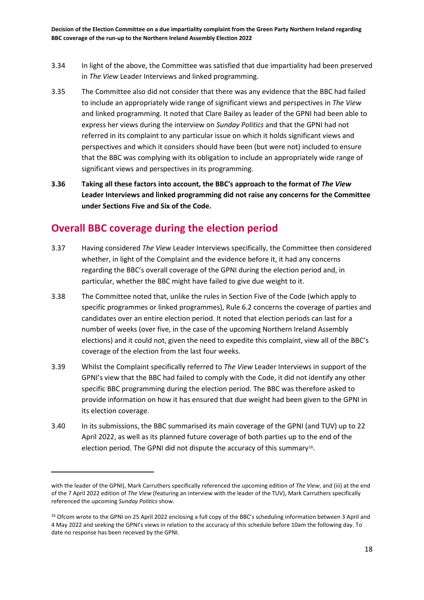- 3.34 In light of the above, the Committee was satisfied that due impartiality had been preserved in *The View* Leader Interviews and linked programming.
- 3.35 The Committee also did not consider that there was any evidence that the BBC had failed to include an appropriately wide range of significant views and perspectives in *The View* and linked programming. It noted that Clare Bailey as leader of the GPNI had been able to express her views during the interview on *Sunday Politics* and that the GPNI had not referred in its complaint to any particular issue on which it holds significant views and perspectives and which it considers should have been (but were not) included to ensure that the BBC was complying with its obligation to include an appropriately wide range of significant views and perspectives in its programming.
- **3.36 Taking all these factors into account, the BBC's approach to the format of** *The View* **Leader Interviews and linked programming did not raise any concerns for the Committee under Sections Five and Six of the Code.**

### **Overall BBC coverage during the election period**

- 3.37 Having considered *The View* Leader Interviews specifically, the Committee then considered whether, in light of the Complaint and the evidence before it, it had any concerns regarding the BBC's overall coverage of the GPNI during the election period and, in particular, whether the BBC might have failed to give due weight to it.
- 3.38 The Committee noted that, unlike the rules in Section Five of the Code (which apply to specific programmes or linked programmes), Rule 6.2 concerns the coverage of parties and candidates over an entire election period. It noted that election periods can last for a number of weeks (over five, in the case of the upcoming Northern Ireland Assembly elections) and it could not, given the need to expedite this complaint, view all of the BBC's coverage of the election from the last four weeks.
- 3.39 Whilst the Complaint specifically referred to *The View* Leader Interviews in support of the GPNI's view that the BBC had failed to comply with the Code, it did not identify any other specific BBC programming during the election period. The BBC was therefore asked to provide information on how it has ensured that due weight had been given to the GPNI in its election coverage.
- 3.40 In its submissions, the BBC summarised its main coverage of the GPNI (and TUV) up to 22 April 2022, as well as its planned future coverage of both parties up to the end of the election period. The GPNI did not dispute the accuracy of this summary<sup>[16](#page-17-0)</sup>.

with the leader of the GPNI), Mark Carruthers specifically referenced the upcoming edition of *The View*, and (iii) at the end of the 7 April 2022 edition of *The View* (featuring an interview with the leader of the TUV), Mark Carruthers specifically referenced the upcoming *Sunday Politics* show.

<span id="page-17-0"></span><sup>&</sup>lt;sup>16</sup> Ofcom wrote to the GPNI on 25 April 2022 enclosing a full copy of the BBC's scheduling information between 3 April and 4 May 2022 and seeking the GPNI's views in relation to the accuracy of this schedule before 10am the following day. To date no response has been received by the GPNI.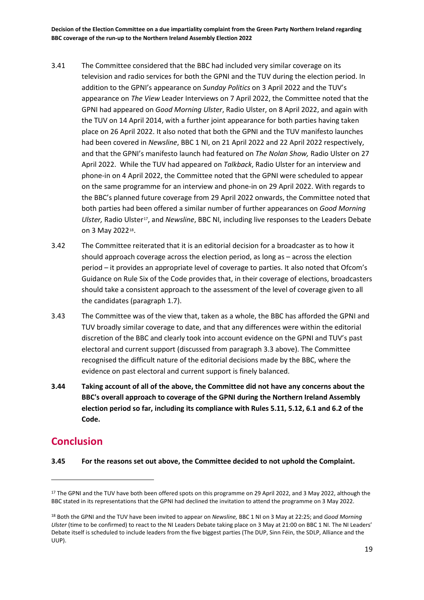- 3.41 The Committee considered that the BBC had included very similar coverage on its television and radio services for both the GPNI and the TUV during the election period. In addition to the GPNI's appearance on *Sunday Politics* on 3 April 2022 and the TUV's appearance on *The View* Leader Interviews on 7 April 2022, the Committee noted that the GPNI had appeared on *Good Morning Ulster*, Radio Ulster, on 8 April 2022, and again with the TUV on 14 April 2014, with a further joint appearance for both parties having taken place on 26 April 2022. It also noted that both the GPNI and the TUV manifesto launches had been covered in *Newsline*, BBC 1 NI, on 21 April 2022 and 22 April 2022 respectively, and that the GPNI's manifesto launch had featured on *The Nolan Show,* Radio Ulster on 27 April 2022. While the TUV had appeared on *Talkback*, Radio Ulster for an interview and phone-in on 4 April 2022, the Committee noted that the GPNI were scheduled to appear on the same programme for an interview and phone-in on 29 April 2022. With regards to the BBC's planned future coverage from 29 April 2022 onwards, the Committee noted that both parties had been offered a similar number of further appearances on *Good Morning*  Ulster, Radio Ulster<sup>17</sup>, and *Newsline*, BBC NI, including live responses to the Leaders Debate on 3 May 2022[18.](#page-18-1)
- 3.42 The Committee reiterated that it is an editorial decision for a broadcaster as to how it should approach coverage across the election period, as long as – across the election period – it provides an appropriate level of coverage to parties. It also noted that Ofcom's Guidance on Rule Six of the Code provides that, in their coverage of elections, broadcasters should take a consistent approach to the assessment of the level of coverage given to all the candidates (paragraph 1.7).
- 3.43 The Committee was of the view that, taken as a whole, the BBC has afforded the GPNI and TUV broadly similar coverage to date, and that any differences were within the editorial discretion of the BBC and clearly took into account evidence on the GPNI and TUV's past electoral and current support (discussed from paragraph 3.3 above). The Committee recognised the difficult nature of the editorial decisions made by the BBC, where the evidence on past electoral and current support is finely balanced.
- **3.44 Taking account of all of the above, the Committee did not have any concerns about the BBC's overall approach to coverage of the GPNI during the Northern Ireland Assembly election period so far, including its compliance with Rules 5.11, 5.12, 6.1 and 6.2 of the Code.**

### **Conclusion**

**3.45 For the reasons set out above, the Committee decided to not uphold the Complaint.**

<span id="page-18-0"></span><sup>&</sup>lt;sup>17</sup> The GPNI and the TUV have both been offered spots on this programme on 29 April 2022, and 3 May 2022, although the BBC stated in its representations that the GPNI had declined the invitation to attend the programme on 3 May 2022.

<span id="page-18-1"></span><sup>18</sup> Both the GPNI and the TUV have been invited to appear on *Newsline,* BBC 1 NI on 3 May at 22:25; and *Good Morning Ulster* (time to be confirmed) to react to the NI Leaders Debate taking place on 3 May at 21:00 on BBC 1 NI. The NI Leaders' Debate itself is scheduled to include leaders from the five biggest parties (The DUP, Sinn Féin, the SDLP, Alliance and the UUP).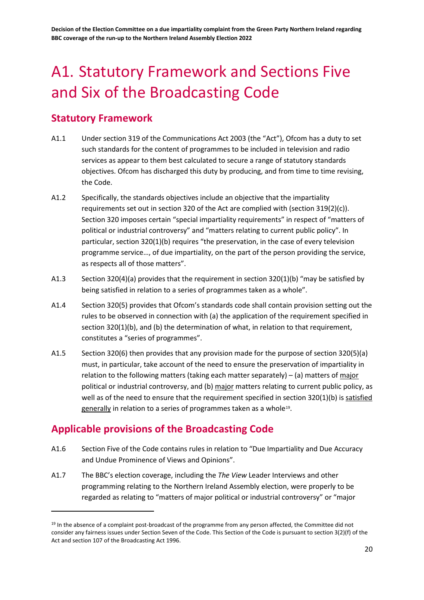# <span id="page-19-0"></span>A1. Statutory Framework and Sections Five and Six of the Broadcasting Code

### **Statutory Framework**

- A1.1 Under section 319 of the Communications Act 2003 (the "Act"), Ofcom has a duty to set such standards for the content of programmes to be included in television and radio services as appear to them best calculated to secure a range of statutory standards objectives. Ofcom has discharged this duty by producing, and from time to time revising, the Code.
- A1.2 Specifically, the standards objectives include an objective that the impartiality requirements set out in section 320 of the Act are complied with (section 319(2)(c)). Section 320 imposes certain "special impartiality requirements" in respect of "matters of political or industrial controversy" and "matters relating to current public policy". In particular, section 320(1)(b) requires "the preservation, in the case of every television programme service…, of due impartiality, on the part of the person providing the service, as respects all of those matters".
- A1.3 Section 320(4)(a) provides that the requirement in section 320(1)(b) "may be satisfied by being satisfied in relation to a series of programmes taken as a whole".
- A1.4 Section 320(5) provides that Ofcom's standards code shall contain provision setting out the rules to be observed in connection with (a) the application of the requirement specified in section 320(1)(b), and (b) the determination of what, in relation to that requirement, constitutes a "series of programmes".
- A1.5 Section 320(6) then provides that any provision made for the purpose of section 320(5)(a) must, in particular, take account of the need to ensure the preservation of impartiality in relation to the following matters (taking each matter separately) – (a) matters of major political or industrial controversy, and (b) major matters relating to current public policy, as well as of the need to ensure that the requirement specified in section 320(1)(b) is satisfied generally in relation to a series of programmes taken as a whole<sup>[19](#page-19-1)</sup>.

## **Applicable provisions of the Broadcasting Code**

- A1.6 Section Five of the Code contains rules in relation to "Due Impartiality and Due Accuracy and Undue Prominence of Views and Opinions".
- A1.7 The BBC's election coverage, including the *The View* Leader Interviews and other programming relating to the Northern Ireland Assembly election, were properly to be regarded as relating to "matters of major political or industrial controversy" or "major

<span id="page-19-1"></span><sup>&</sup>lt;sup>19</sup> In the absence of a complaint post-broadcast of the programme from any person affected, the Committee did not consider any fairness issues under Section Seven of the Code. This Section of the Code is pursuant to section 3(2)(f) of the Act and section 107 of the Broadcasting Act 1996.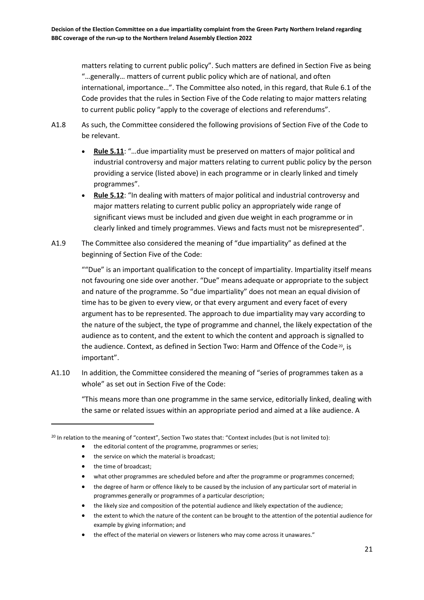matters relating to current public policy". Such matters are defined in Section Five as being "…generally… matters of current public policy which are of national, and often international, importance…". The Committee also noted, in this regard, that Rule 6.1 of the Code provides that the rules in Section Five of the Code relating to major matters relating to current public policy "apply to the coverage of elections and referendums".

- A1.8 As such, the Committee considered the following provisions of Section Five of the Code to be relevant.
	- **Rule 5.11**: "…due impartiality must be preserved on matters of major political and industrial controversy and major matters relating to current public policy by the person providing a service (listed above) in each programme or in clearly linked and timely programmes".
	- **Rule 5.12**: "In dealing with matters of major political and industrial controversy and major matters relating to current public policy an appropriately wide range of significant views must be included and given due weight in each programme or in clearly linked and timely programmes. Views and facts must not be misrepresented".
- A1.9 The Committee also considered the meaning of "due impartiality" as defined at the beginning of Section Five of the Code:

""Due" is an important qualification to the concept of impartiality. Impartiality itself means not favouring one side over another. "Due" means adequate or appropriate to the subject and nature of the programme. So "due impartiality" does not mean an equal division of time has to be given to every view, or that every argument and every facet of every argument has to be represented. The approach to due impartiality may vary according to the nature of the subject, the type of programme and channel, the likely expectation of the audience as to content, and the extent to which the content and approach is signalled to the audience. Context, as defined in Section Two: Harm and Offence of the Code<sup>[20](#page-20-0)</sup>, is important".

A1.10 In addition, the Committee considered the meaning of "series of programmes taken as a whole" as set out in Section Five of the Code:

"This means more than one programme in the same service, editorially linked, dealing with the same or related issues within an appropriate period and aimed at a like audience. A

- the time of broadcast;
- what other programmes are scheduled before and after the programme or programmes concerned;
- the degree of harm or offence likely to be caused by the inclusion of any particular sort of material in programmes generally or programmes of a particular description;
- the likely size and composition of the potential audience and likely expectation of the audience;
- the extent to which the nature of the content can be brought to the attention of the potential audience for example by giving information; and
- the effect of the material on viewers or listeners who may come across it unawares."

<span id="page-20-0"></span><sup>&</sup>lt;sup>20</sup> In relation to the meaning of "context", Section Two states that: "Context includes (but is not limited to):

<sup>•</sup> the editorial content of the programme, programmes or series;

the service on which the material is broadcast;